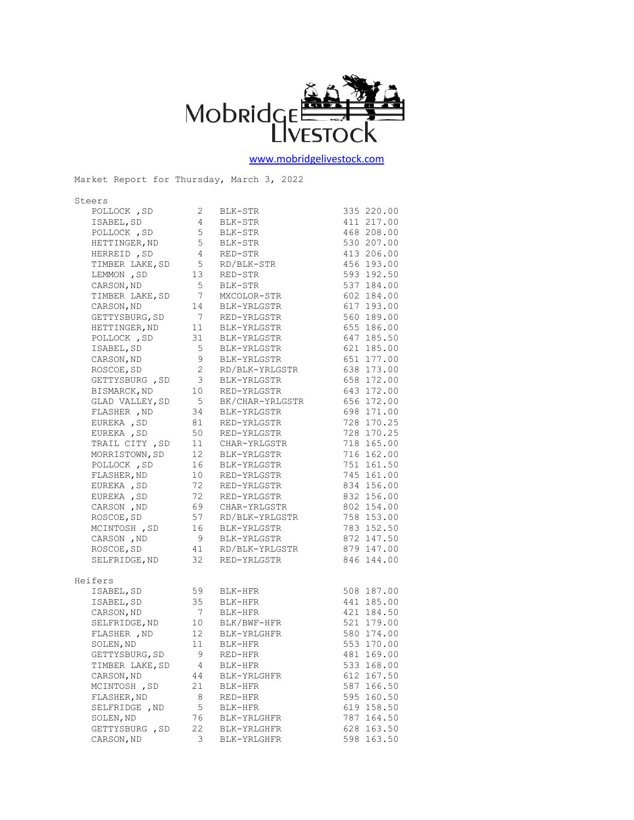

[www.mobridgelivestock.com](http://www.mobridgelivestock.com/)

| Steers                        |                                        |                                              |               |
|-------------------------------|----------------------------------------|----------------------------------------------|---------------|
| POLLOCK, SD                   | $\mathbf{2}$                           | BLK-STR                                      | 335 220.00    |
| ISABEL, SD                    | $\overline{4}$                         | BLK-STR                                      | 411 217.00    |
| POLLOCK , SD<br>HETTINGER, ND | $5\overline{)}$                        | BLK-STR                                      | 468 208.00    |
|                               | 5                                      | BLK-STR                                      | 530 207.00    |
| HERREID , SD                  | $\overline{4}$                         | RED-STR                                      | 413 206.00    |
| TIMBER LAKE, SD               | $5\overline{)}$                        | RD/BLK-STR                                   | 456 193.00    |
| LEMMON , SD                   | 13                                     | RED-STR                                      | 593 192.50    |
| CARSON, ND                    | $5\phantom{.0}$                        | BLK-STR                                      | 537 184.00    |
| TIMBER LAKE, SD               | $\overline{7}$                         | MXCOLOR-STR                                  | 602 184.00    |
| CARSON, ND                    | 14                                     | BLK-YRLGSTR                                  | 617 193.00    |
| GETTYSBURG, SD                | $\overline{7}$                         | RED-YRLGSTR                                  | 560 189.00    |
| HETTINGER, ND                 | 11                                     | BLK-YRLGSTR                                  | 655 186.00    |
| POLLOCK, SD                   | 31                                     | BLK-YRLGSTR                                  | 647 185.50    |
| ISABEL, SD                    | 5                                      | BLK-YRLGSTR                                  | 621 185.00    |
| CARSON, ND                    | 9                                      | BLK-YRLGSTR                                  | 651 177.00    |
| ROSCOE, SD                    | $\overline{c}$                         | RD/BLK-YRLGSTR                               | 638 173.00    |
| GETTYSBURG, SD                | $\overline{\mathbf{3}}$                | BLK-YRLGSTR                                  | 658 172.00    |
| BISMARCK, ND                  | 10                                     | RED-YRLGSTR                                  | 643 172.00    |
| GLAD VALLEY, SD               | $5^{\circ}$                            | BK/CHAR-YRLGSTR                              | 656 172.00    |
| FLASHER , ND                  | 34                                     | BLK-YRLGSTR<br>RED-YRLGSTR                   | 698 171.00    |
| EUREKA , SD                   | 81                                     |                                              | 728 170.25    |
| EUREKA , SD                   | 50                                     | RED-YRLGSTR                                  | 728 170.25    |
| TRAIL CITY, SD                | 11                                     | CHAR-YRLGSTR                                 | 718 165.00    |
| MORRISTOWN, SD                | 12                                     | BLK-YRLGSTR                                  | 716 162.00    |
| POLLOCK, SD                   | 16                                     | BLK-YRLGSTR                                  | 751 161.50    |
| FLASHER, ND                   |                                        | 10 RED-YRLGSTR                               | 745 161.00    |
| EUREKA, SD                    | 72                                     | RED-YRLGSTR                                  | 834 156.00    |
| EUREKA , SD                   | 72                                     | RED-YRLGSTR                                  | 832 156.00    |
| 69<br>CARSON, ND              |                                        | CHAR-YRLGSTR                                 | 802 154.00    |
| ROSCOE, SD                    | 57                                     |                                              | 758 153.00    |
| MCINTOSH , SD                 | 16                                     | RD/BLK-YRLGSTR<br>BLK-YRLGSTR<br>BLK-YRLGSTR | 783 152.50    |
| CARSON , ND                   | 9                                      | BLK-YRLGSTR                                  | 872 147.50    |
| ROSCOE, SD                    |                                        | 41 RD/BLK-YRLGSTR<br>22 PER VELGSER          | 879 147.00    |
| SELFRIDGE, ND                 | 32                                     | RED-YRLGSTR                                  | 846 144.00    |
|                               |                                        |                                              |               |
| Heifers                       |                                        |                                              |               |
| ISABEL, SD                    | 59                                     | BLK-HFR                                      | 508 187.00    |
| ISABEL, SD                    | 35                                     | BLK-HFR                                      | 441 185.00    |
| CARSON, ND                    |                                        | BLK-HFR                                      | 421 184.50    |
| SELFRIDGE, ND                 | $\begin{array}{c} 7 \\ 10 \end{array}$ | BLK/BWF-HFR                                  | 521 179.00    |
|                               |                                        | FLASHER ND 12 BLK-YRLGHFR 580 174.00         |               |
| SOLEN, ND                     | 11                                     | BLK-HFR                                      | 553 170.00    |
| GETTYSBURG, SD                | 9                                      | RED-HFR                                      | 481 169.00    |
| TIMBER LAKE, SD               | 4                                      | BLK-HFR                                      | 533 168.00    |
| CARSON, ND                    | 44                                     | BLK-YRLGHFR                                  | 612 167.50    |
| MCINTOSH, SD                  | 21                                     | BLK-HFR                                      | 587 166.50    |
| FLASHER, ND                   | 8                                      | RED-HFR                                      | 595<br>160.50 |
| SELFRIDGE , ND                | 5                                      | BLK-HFR                                      | 619 158.50    |
| SOLEN, ND                     | 76                                     | BLK-YRLGHFR                                  | 787 164.50    |
| GETTYSBURG , SD               | 22                                     | BLK-YRLGHFR                                  | 628 163.50    |
| CARSON, ND                    | 3                                      | BLK-YRLGHFR                                  | 598 163.50    |
|                               |                                        |                                              |               |

Market Report for Thursday, March 3, 2022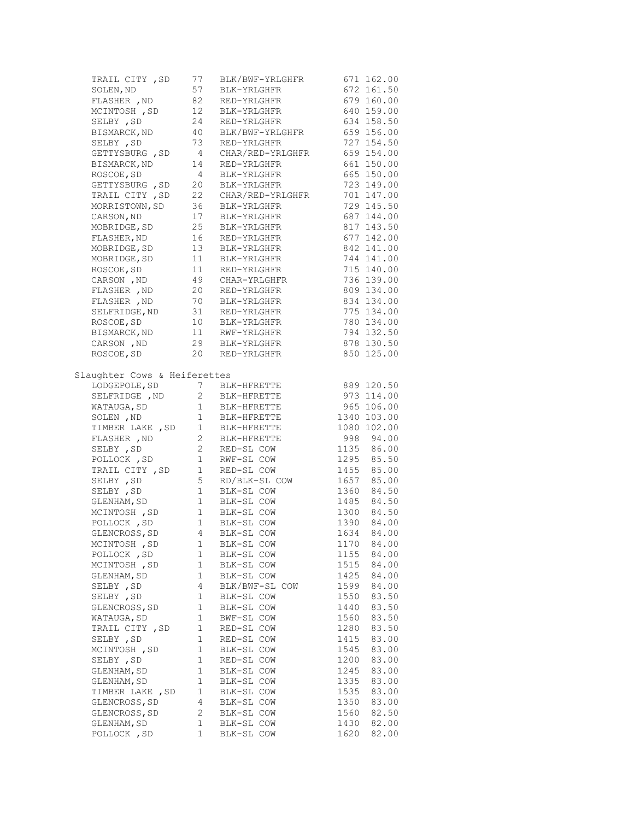| TRAIL CITY , SD                                                          | 77              | BLK/BWF-YRLGHFR                                        | 671 162.00                                                                      |
|--------------------------------------------------------------------------|-----------------|--------------------------------------------------------|---------------------------------------------------------------------------------|
| SOLEN, ND                                                                |                 | 57 BLK-YRLGHFR<br>82 RED-YRLGHFR<br>12 BLK-YRLGHFR     | 672 161.50                                                                      |
| FLASHER , ND                                                             |                 |                                                        | 679 160.00                                                                      |
| MCINTOSH , SD                                                            |                 |                                                        | 640 159.00                                                                      |
| SELBY , SD                                                               |                 | 24 RED-YRLGHFR                                         | 634 158.50                                                                      |
| BISMARCK, ND                                                             |                 | 40 BLK/BWF-YRLGHFR                                     | 659 156.00                                                                      |
| SELBY , SD                                                               | 73              | RED-YRLGHFR                                            | 727 154.50                                                                      |
| GETTYSBURG , SD                                                          |                 | 4 CHAR/RED-YRLGHFR                                     | 659 154.00                                                                      |
| BISMARCK, ND                                                             | 14              | RED-YRLGHFR                                            | 661 150.00                                                                      |
| ROSCOE, SD                                                               | $4\overline{4}$ | BLK-YRLGHFR                                            | 665 150.00                                                                      |
| GETTYSBURG , SD                                                          |                 | 4 BLK-YRLGHFR<br>20 BLK-YRLGHFR                        | 723 149.00                                                                      |
|                                                                          |                 | TRAIL CITY, SD 22 CHAR/RED-YRLGHFR                     | 701 147.00                                                                      |
|                                                                          |                 |                                                        | 729 145.50                                                                      |
| MORRISTOWN, SD 36 BLK-YRLGHFR<br>CARSON, ND 17 BLK-YRLGHFR               |                 |                                                        | 687 144.00                                                                      |
|                                                                          |                 | MOBRIDGE, SD 25 BLK-YRLGHFR                            | 817 143.50                                                                      |
| FLASHER, ND                                                              |                 | 16 RED-YRLGHFR                                         | 677 142.00                                                                      |
| MOBRIDGE, SD                                                             |                 |                                                        | 842 141.00                                                                      |
| MOBRIDGE, SD                                                             |                 | 13 BLK-YRLGHFR<br>11 BLK-YRLGHFR                       | 744 141.00                                                                      |
| ROSCOE, SD                                                               |                 | 11 RED-YRLGHFR                                         | 715 140.00                                                                      |
| CARSON , ND                                                              |                 |                                                        | 736 139.00                                                                      |
| FLASHER , ND                                                             |                 | 49 CHAR-YRLGHFR<br>20 RED-YRLGHFR                      | 809 134.00                                                                      |
|                                                                          |                 | FLASHER, ND 70 BLK-YRLGHFR                             | 834 134.00                                                                      |
| SELFRIDGE, ND                                                            |                 |                                                        | 775 134.00                                                                      |
| ROSCOE, SD                                                               |                 | 31 RED-YRLGHFR<br>10 BLK-YRLGHFR                       | $780$ 134.00                                                                    |
| BISMARCK, ND                                                             |                 | 11 RWF-YRLGHFR                                         | 794 132.50                                                                      |
| CARSON , ND                                                              |                 | 29 BLK-YRLGHFR                                         | 878 130.50                                                                      |
| ROSCOE, SD                                                               |                 | 20 RED-YRLGHFR                                         | 850 125.00                                                                      |
|                                                                          |                 |                                                        |                                                                                 |
| Slaughter Cows & Heiferettes                                             |                 |                                                        |                                                                                 |
| LODGEPOLE, SD 7 BLK-HFRETTE<br>SELFRIDGE, ND 2 BLK-HFRETTE<br>MATAUCA CR |                 |                                                        | 889 120.50                                                                      |
|                                                                          |                 |                                                        | 973 114.00                                                                      |
| WATAUGA, SD 1 BLK-HFRETTE                                                |                 |                                                        | 965 106.00                                                                      |
|                                                                          |                 |                                                        | $\begin{array}{cccc}\n & - & 106.00 \\ 1340 & 103.00 \\ 1080 & 10\n\end{array}$ |
| SOLEN, ND<br>TIMBER LAKE, SD 1 BLK-HFRETTE<br>FLASHER, ND 2 BLK-HFRETTE  |                 |                                                        |                                                                                 |
|                                                                          |                 |                                                        | 998 94.00                                                                       |
| SELBY , SD                                                               |                 |                                                        | 1135 86.00                                                                      |
| POLLOCK, SD                                                              |                 | 2 RED-SL COW<br>1 RWF-SL COW                           | 1295 85.50                                                                      |
| TRAIL CITY, SD 1 RED-SL COW                                              |                 |                                                        | 1455 85.00                                                                      |
| SELBY , SD                                                               |                 | 5 RD/BLK-SL COW                                        | 1657 85.00                                                                      |
| SELBY , SD                                                               |                 |                                                        | 1360 84.50                                                                      |
| GLENHAM, SD                                                              |                 | 1 BLK-SL COW<br>1 BLK-SL COW                           | 1485 84.50                                                                      |
|                                                                          |                 | MCINTOSH, SD 1 BLK-SL COW                              | 1300 84.50                                                                      |
|                                                                          |                 | POLLOCK, SD 1 BLK-SL COW<br>GLENCROSS, SD 4 BLK-SL COW | 1390 84.00                                                                      |
|                                                                          |                 |                                                        | 1634<br>84.00                                                                   |
| MCINTOSH , SD                                                            | 1               | BLK-SL COW                                             | 84.00<br>1170                                                                   |
| POLLOCK, SD                                                              | 1               | BLK-SL COW                                             | 1155<br>84.00                                                                   |
| MCINTOSH, SD                                                             | $\mathbf{1}$    | BLK-SL COW                                             | 1515<br>84.00                                                                   |
| GLENHAM, SD                                                              | 1               | BLK-SL COW                                             | 1425<br>84.00                                                                   |
| SELBY, SD                                                                | 4               | BLK/BWF-SL COW                                         | 1599<br>84.00                                                                   |
| SELBY , SD                                                               | $\mathbf 1$     | BLK-SL COW                                             | 83.50<br>1550                                                                   |
| GLENCROSS, SD                                                            | 1               | BLK-SL COW                                             | 83.50<br>1440                                                                   |
| WATAUGA, SD                                                              | $\mathbf 1$     | BWF-SL COW                                             | 83.50<br>1560                                                                   |
| TRAIL CITY, SD                                                           | 1               | RED-SL COW                                             | 1280<br>83.50                                                                   |
| SELBY, SD                                                                | 1               | RED-SL COW                                             | 1415<br>83.00                                                                   |
| MCINTOSH, SD                                                             | $\mathbf 1$     |                                                        | 1545<br>83.00                                                                   |
| SELBY , SD                                                               | 1               | BLK-SL COW                                             |                                                                                 |
|                                                                          | 1               | RED-SL COW                                             | 1200<br>83.00<br>1245<br>83.00                                                  |
| GLENHAM, SD                                                              |                 | BLK-SL COW                                             |                                                                                 |
| GLENHAM, SD                                                              | 1               | BLK-SL COW<br>BLK-SL COW                               | 1335<br>83.00                                                                   |
| TIMBER LAKE , SD                                                         | 1               |                                                        | 1535<br>83.00                                                                   |
| GLENCROSS, SD                                                            | 4               | BLK-SL COW                                             | 1350<br>83.00                                                                   |
| GLENCROSS, SD                                                            | $\mathbf{2}$    | BLK-SL COW                                             | 82.50<br>1560                                                                   |
| GLENHAM, SD                                                              | 1               | BLK-SL COW                                             | 82.00<br>1430                                                                   |
| POLLOCK, SD                                                              | 1               | BLK-SL COW                                             | 1620<br>82.00                                                                   |